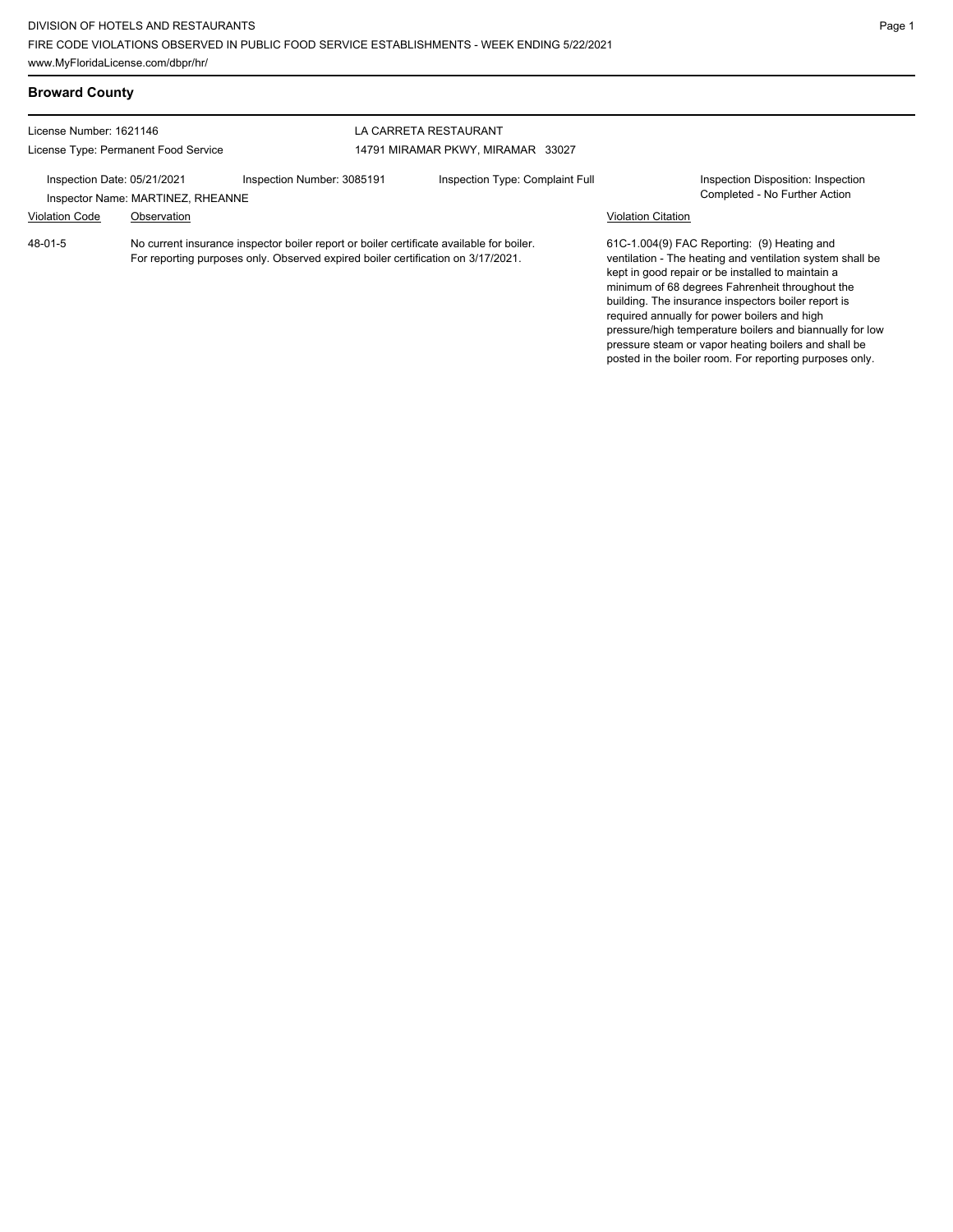pressure steam or vapor heating boilers and shall be posted in the boiler room. For reporting purposes only.

| <b>Broward County</b>                |                                   |                                                                                                                                                                              |                                 |                           |                                                                                                                                                                                                                                                                                                                                                                                     |
|--------------------------------------|-----------------------------------|------------------------------------------------------------------------------------------------------------------------------------------------------------------------------|---------------------------------|---------------------------|-------------------------------------------------------------------------------------------------------------------------------------------------------------------------------------------------------------------------------------------------------------------------------------------------------------------------------------------------------------------------------------|
| License Number: 1621146              |                                   |                                                                                                                                                                              | LA CARRETA RESTAURANT           |                           |                                                                                                                                                                                                                                                                                                                                                                                     |
| License Type: Permanent Food Service |                                   | 14791 MIRAMAR PKWY, MIRAMAR 33027                                                                                                                                            |                                 |                           |                                                                                                                                                                                                                                                                                                                                                                                     |
| Inspection Date: 05/21/2021          | Inspector Name: MARTINEZ, RHEANNE | Inspection Number: 3085191                                                                                                                                                   | Inspection Type: Complaint Full |                           | Inspection Disposition: Inspection<br>Completed - No Further Action                                                                                                                                                                                                                                                                                                                 |
| <b>Violation Code</b>                | Observation                       |                                                                                                                                                                              |                                 | <b>Violation Citation</b> |                                                                                                                                                                                                                                                                                                                                                                                     |
| 48-01-5                              |                                   | No current insurance inspector boiler report or boiler certificate available for boiler.<br>For reporting purposes only. Observed expired boiler certification on 3/17/2021. |                                 |                           | 61C-1.004(9) FAC Reporting: (9) Heating and<br>ventilation - The heating and ventilation system shall be<br>kept in good repair or be installed to maintain a<br>minimum of 68 degrees Fahrenheit throughout the<br>building. The insurance inspectors boiler report is<br>required annually for power boilers and high<br>pressure/high temperature boilers and biannually for low |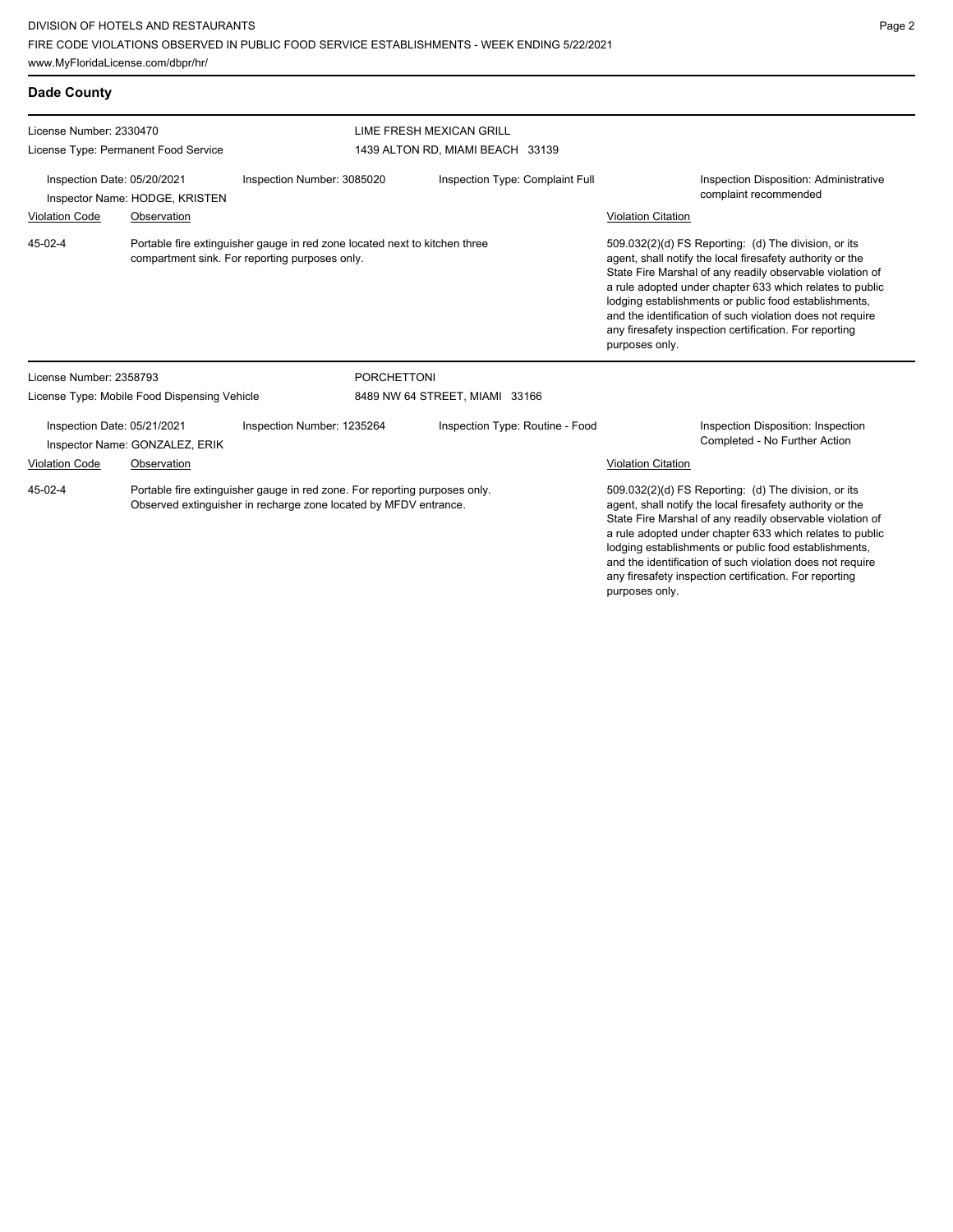www.MyFloridaLicense.com/dbpr/hr/

| <b>Dade County</b>                                                                                                                      |                                              |                                                                                                                                                |                                  |                                                                                                                                                                                                                                                                                                                                                                                                                                              |                                                                                                                                                                                                                                                                                                                                                                                                                            |
|-----------------------------------------------------------------------------------------------------------------------------------------|----------------------------------------------|------------------------------------------------------------------------------------------------------------------------------------------------|----------------------------------|----------------------------------------------------------------------------------------------------------------------------------------------------------------------------------------------------------------------------------------------------------------------------------------------------------------------------------------------------------------------------------------------------------------------------------------------|----------------------------------------------------------------------------------------------------------------------------------------------------------------------------------------------------------------------------------------------------------------------------------------------------------------------------------------------------------------------------------------------------------------------------|
| License Number: 2330470                                                                                                                 |                                              | LIME FRESH MEXICAN GRILL                                                                                                                       |                                  |                                                                                                                                                                                                                                                                                                                                                                                                                                              |                                                                                                                                                                                                                                                                                                                                                                                                                            |
| License Type: Permanent Food Service                                                                                                    |                                              |                                                                                                                                                | 1439 ALTON RD, MIAMI BEACH 33139 |                                                                                                                                                                                                                                                                                                                                                                                                                                              |                                                                                                                                                                                                                                                                                                                                                                                                                            |
| Inspection Date: 05/20/2021                                                                                                             | Inspector Name: HODGE, KRISTEN               | Inspection Number: 3085020                                                                                                                     |                                  | Inspection Type: Complaint Full                                                                                                                                                                                                                                                                                                                                                                                                              | Inspection Disposition: Administrative<br>complaint recommended                                                                                                                                                                                                                                                                                                                                                            |
| <b>Violation Code</b>                                                                                                                   | Observation                                  |                                                                                                                                                |                                  |                                                                                                                                                                                                                                                                                                                                                                                                                                              | <b>Violation Citation</b>                                                                                                                                                                                                                                                                                                                                                                                                  |
| 45-02-4<br>Portable fire extinguisher gauge in red zone located next to kitchen three<br>compartment sink. For reporting purposes only. |                                              |                                                                                                                                                |                                  | 509.032(2)(d) FS Reporting: (d) The division, or its<br>agent, shall notify the local firesafety authority or the<br>State Fire Marshal of any readily observable violation of<br>a rule adopted under chapter 633 which relates to public<br>lodging establishments or public food establishments,<br>and the identification of such violation does not require<br>any firesafety inspection certification. For reporting<br>purposes only. |                                                                                                                                                                                                                                                                                                                                                                                                                            |
| License Number: 2358793                                                                                                                 |                                              |                                                                                                                                                | <b>PORCHETTONI</b>               |                                                                                                                                                                                                                                                                                                                                                                                                                                              |                                                                                                                                                                                                                                                                                                                                                                                                                            |
|                                                                                                                                         | License Type: Mobile Food Dispensing Vehicle |                                                                                                                                                | 8489 NW 64 STREET, MIAMI 33166   |                                                                                                                                                                                                                                                                                                                                                                                                                                              |                                                                                                                                                                                                                                                                                                                                                                                                                            |
| Inspection Date: 05/21/2021                                                                                                             | Inspector Name: GONZALEZ, ERIK               | Inspection Number: 1235264                                                                                                                     |                                  | Inspection Type: Routine - Food                                                                                                                                                                                                                                                                                                                                                                                                              | Inspection Disposition: Inspection<br>Completed - No Further Action                                                                                                                                                                                                                                                                                                                                                        |
| <b>Violation Code</b>                                                                                                                   | Observation                                  |                                                                                                                                                |                                  |                                                                                                                                                                                                                                                                                                                                                                                                                                              | <b>Violation Citation</b>                                                                                                                                                                                                                                                                                                                                                                                                  |
| 45-02-4                                                                                                                                 |                                              | Portable fire extinguisher gauge in red zone. For reporting purposes only.<br>Observed extinguisher in recharge zone located by MFDV entrance. |                                  |                                                                                                                                                                                                                                                                                                                                                                                                                                              | 509.032(2)(d) FS Reporting: (d) The division, or its<br>agent, shall notify the local firesafety authority or the<br>State Fire Marshal of any readily observable violation of<br>a rule adopted under chapter 633 which relates to public<br>lodging establishments or public food establishments,<br>and the identification of such violation does not require<br>any firesafety inspection certification. For reporting |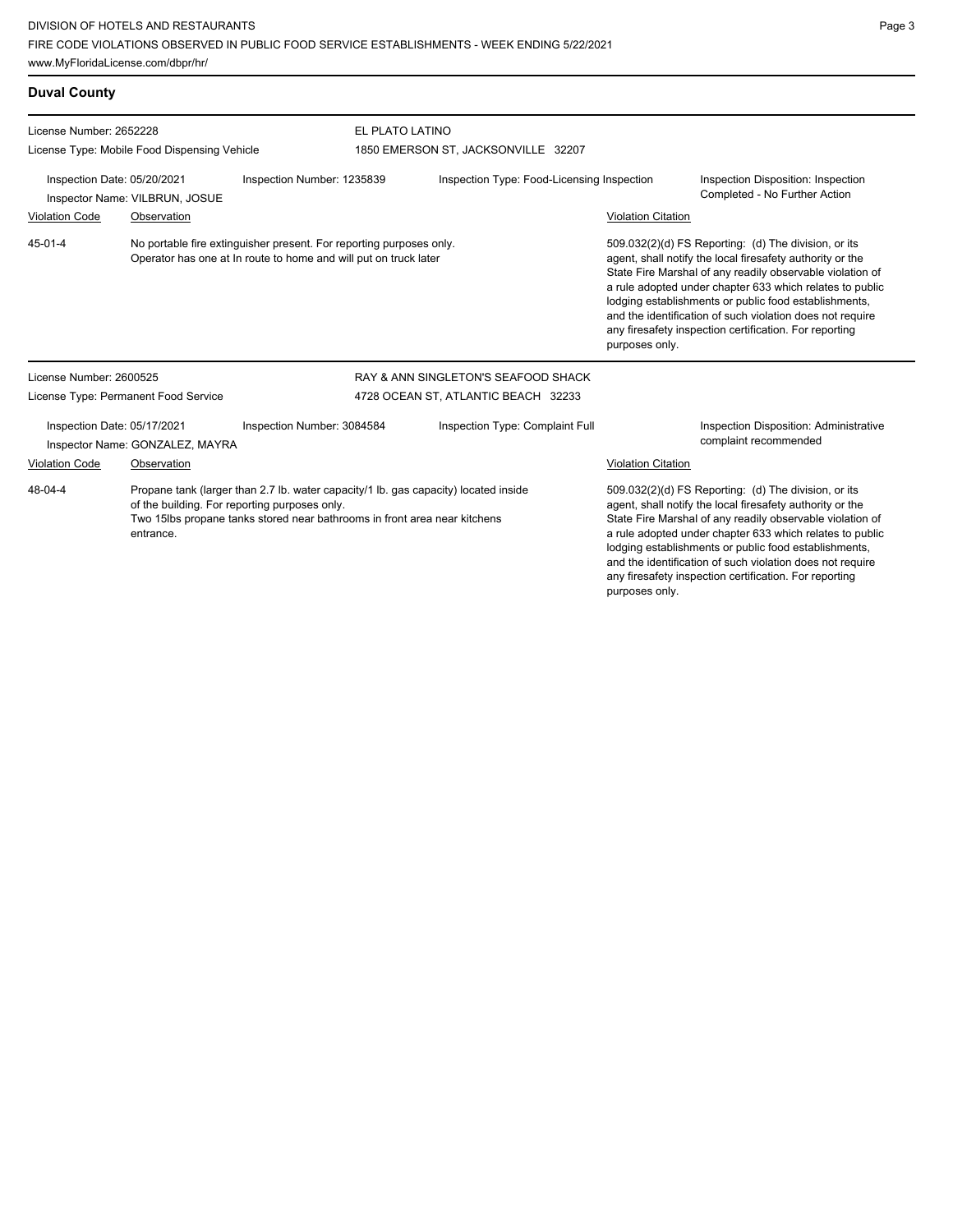**Duval County** License Number: 2652228 License Type: Mobile Food Dispensing Vehicle EL PLATO LATINO 1850 EMERSON ST, JACKSONVILLE 32207 Inspection Date: 05/20/2021 Inspection Number: 1235839 Inspection Type: Food-Licensing Inspection Inspection Disposition: Inspection Inspector Name: VILBRUN, JOSUE **Inspector Name: VILBRUN, JOSUE** Violation Code Observation Violation Citation No portable fire extinguisher present. For reporting purposes only. Operator has one at In route to home and will put on truck later 509.032(2)(d) FS Reporting: (d) The division, or its agent, shall notify the local firesafety authority or the State Fire Marshal of any readily observable violation of a rule adopted under chapter 633 which relates to public lodging establishments or public food establishments, and the identification of such violation does not require any firesafety inspection certification. For reporting purposes only. 45-01-4 License Number: 2600525 License Type: Permanent Food Service RAY & ANN SINGLETON'S SEAFOOD SHACK 4728 OCEAN ST, ATLANTIC BEACH 32233 Inspection Date: 05/17/2021 Inspection Number: 3084584 Inspection Type: Complaint Full Inspection Disposition: Administrative Inspector Name: GONZALEZ, MAYRA **Inspector Name: GONZALEZ**, MAYRA Violation Code Observation Violation Citation Propane tank (larger than 2.7 lb. water capacity/1 lb. gas capacity) located inside of the building. For reporting purposes only. Two 15lbs propane tanks stored near bathrooms in front area near kitchens entrance. 509.032(2)(d) FS Reporting: (d) The division, or its agent, shall notify the local firesafety authority or the State Fire Marshal of any readily observable violation of a rule adopted under chapter 633 which relates to public lodging establishments or public food establishments, 48-04-4

# Page 3

and the identification of such violation does not require any firesafety inspection certification. For reporting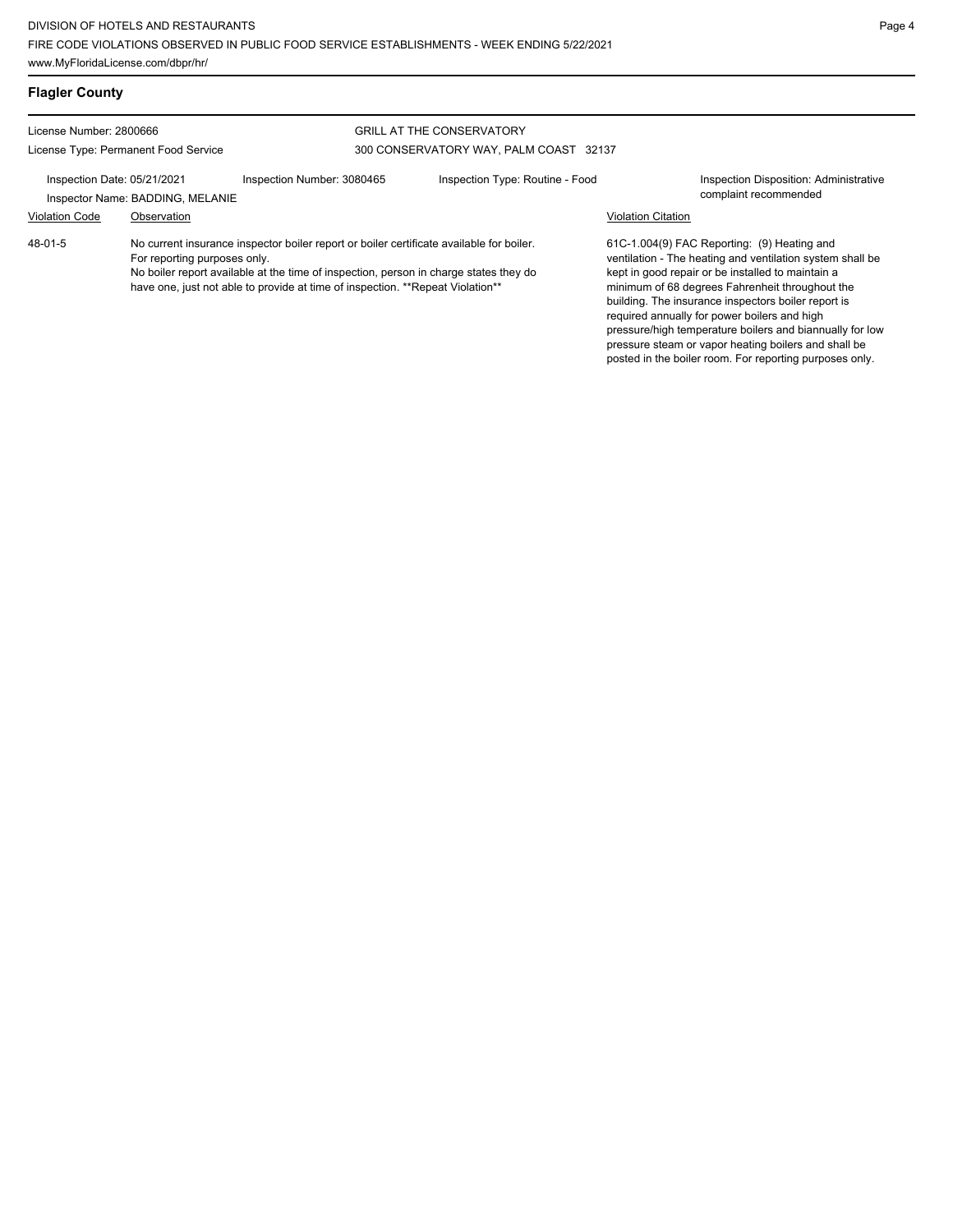posted in the boiler room. For reporting purposes only.

| <b>Flagler County</b>                                           |                                  |                                                                                                                                                                                                                                                                     |                                                                            |                           |                                                                                                                                                                                                                                                                                                                                                                                                                                             |
|-----------------------------------------------------------------|----------------------------------|---------------------------------------------------------------------------------------------------------------------------------------------------------------------------------------------------------------------------------------------------------------------|----------------------------------------------------------------------------|---------------------------|---------------------------------------------------------------------------------------------------------------------------------------------------------------------------------------------------------------------------------------------------------------------------------------------------------------------------------------------------------------------------------------------------------------------------------------------|
| License Number: 2800666<br>License Type: Permanent Food Service |                                  |                                                                                                                                                                                                                                                                     | <b>GRILL AT THE CONSERVATORY</b><br>300 CONSERVATORY WAY, PALM COAST 32137 |                           |                                                                                                                                                                                                                                                                                                                                                                                                                                             |
| Inspection Date: 05/21/2021                                     | Inspector Name: BADDING, MELANIE | Inspection Number: 3080465                                                                                                                                                                                                                                          | Inspection Type: Routine - Food                                            |                           | Inspection Disposition: Administrative<br>complaint recommended                                                                                                                                                                                                                                                                                                                                                                             |
| <b>Violation Code</b>                                           | Observation                      |                                                                                                                                                                                                                                                                     |                                                                            | <b>Violation Citation</b> |                                                                                                                                                                                                                                                                                                                                                                                                                                             |
| 48-01-5                                                         | For reporting purposes only.     | No current insurance inspector boiler report or boiler certificate available for boiler.<br>No boiler report available at the time of inspection, person in charge states they do<br>have one, just not able to provide at time of inspection. **Repeat Violation** |                                                                            |                           | 61C-1.004(9) FAC Reporting: (9) Heating and<br>ventilation - The heating and ventilation system shall be<br>kept in good repair or be installed to maintain a<br>minimum of 68 degrees Fahrenheit throughout the<br>building. The insurance inspectors boiler report is<br>required annually for power boilers and high<br>pressure/high temperature boilers and biannually for low<br>pressure steam or vapor heating boilers and shall be |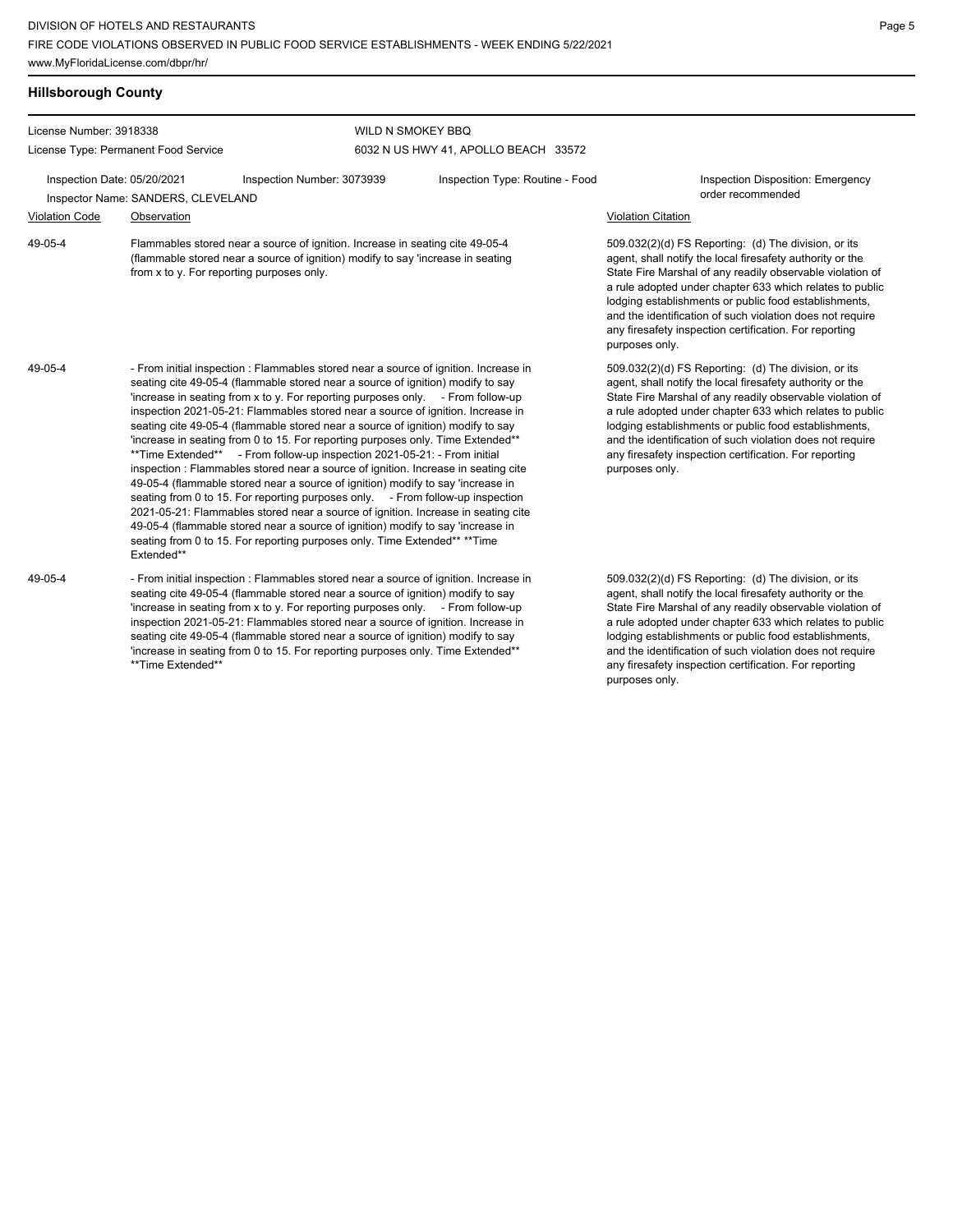Flammables stored near a source of ignition. Increase in seating cite 49-05-4 (flammable stored near a source of ignition) modify to say 'increase in seating

- From initial inspection : Flammables stored near a source of ignition. Increase in seating cite 49-05-4 (flammable stored near a source of ignition) modify to say 'increase in seating from x to y. For reporting purposes only. - From follow-up inspection 2021-05-21: Flammables stored near a source of ignition. Increase in

### **Hillsborough County**

49-05-4

49-05-4

License Number: 3918338

License Type: Permanent Food Service

#### WILD N SMOKEY BBQ 6032 N US HWY 41, APOLLO BEACH 33572

Inspection Date: 05/20/2021 Inspection Number: 3073939 Inspection Type: Routine - Food Inspection Disposition: Emergency

Extended\*\*

from x to y. For reporting purposes only.

order recommended Inspector Name: SANDERS, CLEVELAND

#### Violation Code Observation Violation Citation

509.032(2)(d) FS Reporting: (d) The division, or its agent, shall notify the local firesafety authority or the State Fire Marshal of any readily observable violation of a rule adopted under chapter 633 which relates to public lodging establishments or public food establishments, and the identification of such violation does not require any firesafety inspection certification. For reporting purposes only.

509.032(2)(d) FS Reporting: (d) The division, or its agent, shall notify the local firesafety authority or the State Fire Marshal of any readily observable violation of a rule adopted under chapter 633 which relates to public lodging establishments or public food establishments, and the identification of such violation does not require any firesafety inspection certification. For reporting

509.032(2)(d) FS Reporting: (d) The division, or its agent, shall notify the local firesafety authority or the State Fire Marshal of any readily observable violation of a rule adopted under chapter 633 which relates to public lodging establishments or public food establishments, and the identification of such violation does not require any firesafety inspection certification. For reporting purposes only.

seating cite 49-05-4 (flammable stored near a source of ignition) modify to say 'increase in seating from 0 to 15. For reporting purposes only. Time Extended\*\* \*\*Time Extended\*\* - From follow-up inspection 2021-05-21: - From initial inspection : Flammables stored near a source of ignition. Increase in seating cite 49-05-4 (flammable stored near a source of ignition) modify to say 'increase in seating from 0 to 15. For reporting purposes only. - From follow-up inspection 2021-05-21: Flammables stored near a source of ignition. Increase in seating cite 49-05-4 (flammable stored near a source of ignition) modify to say 'increase in seating from 0 to 15. For reporting purposes only. Time Extended\*\* \*\* Time purposes only.

- From initial inspection : Flammables stored near a source of ignition. Increase in seating cite 49-05-4 (flammable stored near a source of ignition) modify to say 'increase in seating from x to y. For reporting purposes only. - From follow-up inspection 2021-05-21: Flammables stored near a source of ignition. Increase in seating cite 49-05-4 (flammable stored near a source of ignition) modify to say 'increase in seating from 0 to 15. For reporting purposes only. Time Extended\*\* \*\*Time Extended\*\* 49-05-4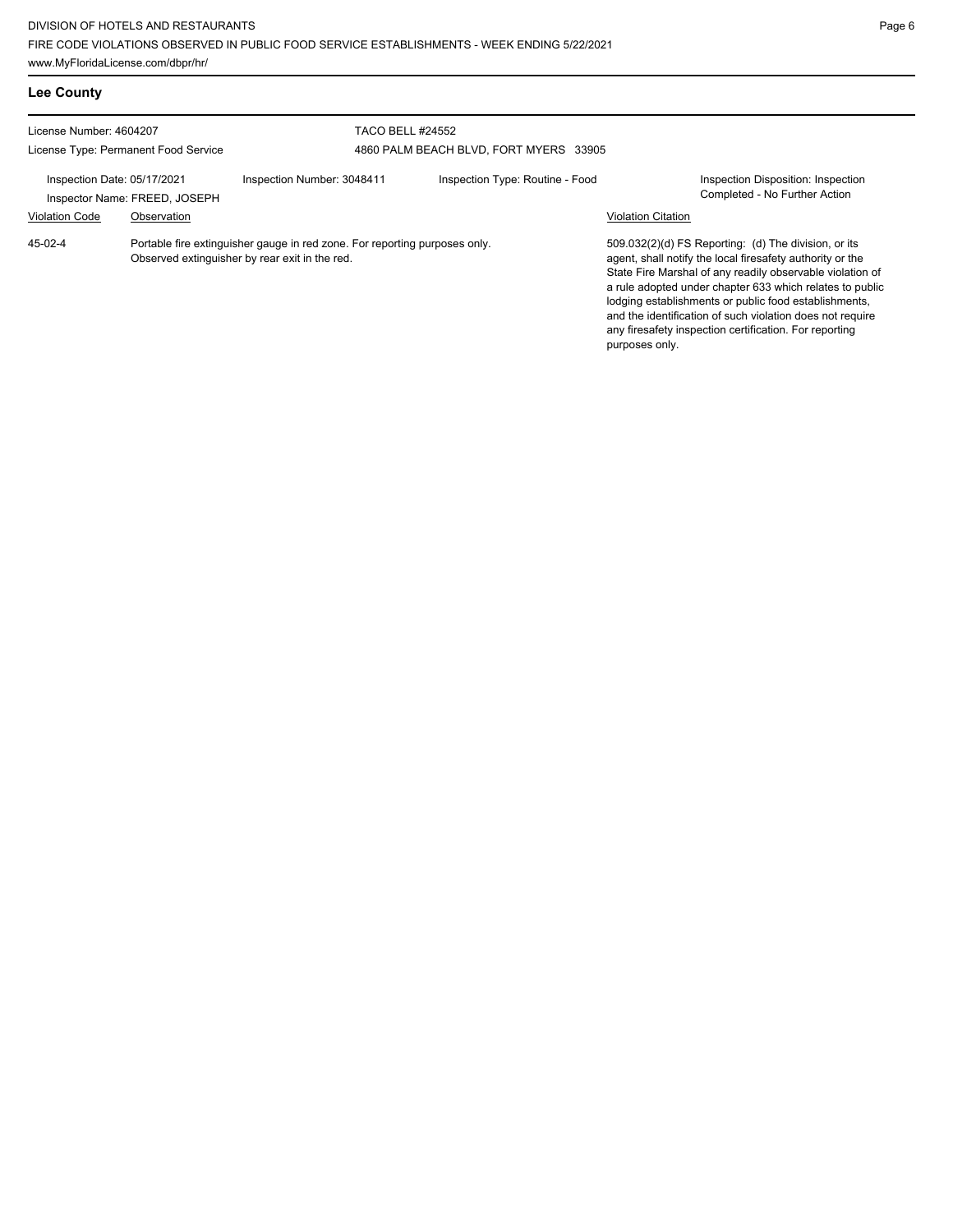www.MyFloridaLicense.com/dbpr/hr/

| <b>Lee County</b>                                               |                                              |                                                                                                                              |                                                                   |                                 |                           |                                                                                                                                                                                                                                                                                                                                                                                                                            |  |
|-----------------------------------------------------------------|----------------------------------------------|------------------------------------------------------------------------------------------------------------------------------|-------------------------------------------------------------------|---------------------------------|---------------------------|----------------------------------------------------------------------------------------------------------------------------------------------------------------------------------------------------------------------------------------------------------------------------------------------------------------------------------------------------------------------------------------------------------------------------|--|
| License Number: 4604207<br>License Type: Permanent Food Service |                                              |                                                                                                                              | <b>TACO BELL #24552</b><br>4860 PALM BEACH BLVD, FORT MYERS 33905 |                                 |                           |                                                                                                                                                                                                                                                                                                                                                                                                                            |  |
| Inspection Date: 05/17/2021<br><b>Violation Code</b>            | Inspector Name: FREED, JOSEPH<br>Observation | Inspection Number: 3048411                                                                                                   |                                                                   | Inspection Type: Routine - Food | <b>Violation Citation</b> | Inspection Disposition: Inspection<br>Completed - No Further Action                                                                                                                                                                                                                                                                                                                                                        |  |
| 45-02-4                                                         |                                              | Portable fire extinguisher gauge in red zone. For reporting purposes only.<br>Observed extinguisher by rear exit in the red. |                                                                   |                                 | purposes only.            | 509.032(2)(d) FS Reporting: (d) The division, or its<br>agent, shall notify the local firesafety authority or the<br>State Fire Marshal of any readily observable violation of<br>a rule adopted under chapter 633 which relates to public<br>lodging establishments or public food establishments,<br>and the identification of such violation does not require<br>any firesafety inspection certification. For reporting |  |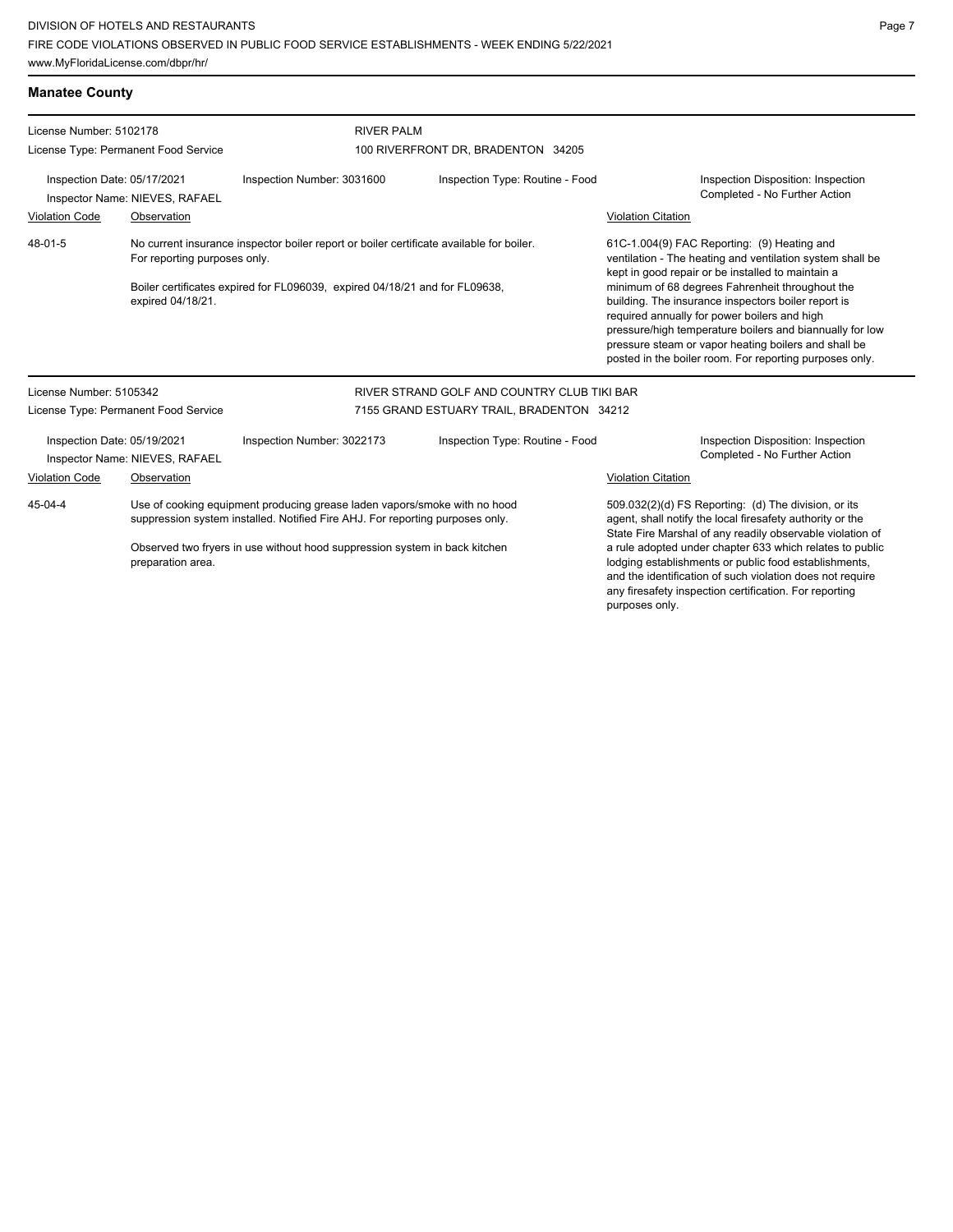## **Manatee County**

| License Number: 5102178<br>License Type: Permanent Food Service                                                                     |                                      | <b>RIVER PALM</b>          |                                             |                                                                                                                                                                                                                                                                                                                                       |                                                                     |  |
|-------------------------------------------------------------------------------------------------------------------------------------|--------------------------------------|----------------------------|---------------------------------------------|---------------------------------------------------------------------------------------------------------------------------------------------------------------------------------------------------------------------------------------------------------------------------------------------------------------------------------------|---------------------------------------------------------------------|--|
|                                                                                                                                     |                                      |                            | 100 RIVERFRONT DR, BRADENTON 34205          |                                                                                                                                                                                                                                                                                                                                       |                                                                     |  |
| Inspection Date: 05/17/2021<br>Inspector Name: NIEVES, RAFAEL                                                                       |                                      | Inspection Number: 3031600 | Inspection Type: Routine - Food             |                                                                                                                                                                                                                                                                                                                                       | Inspection Disposition: Inspection<br>Completed - No Further Action |  |
| <b>Violation Code</b>                                                                                                               | Observation                          |                            |                                             | <b>Violation Citation</b>                                                                                                                                                                                                                                                                                                             |                                                                     |  |
| 48-01-5<br>No current insurance inspector boiler report or boiler certificate available for boiler.<br>For reporting purposes only. |                                      |                            |                                             | 61C-1.004(9) FAC Reporting: (9) Heating and<br>ventilation - The heating and ventilation system shall be<br>kept in good repair or be installed to maintain a                                                                                                                                                                         |                                                                     |  |
| Boiler certificates expired for FL096039, expired 04/18/21 and for FL09638,<br>expired 04/18/21.                                    |                                      |                            |                                             | minimum of 68 degrees Fahrenheit throughout the<br>building. The insurance inspectors boiler report is<br>required annually for power boilers and high<br>pressure/high temperature boilers and biannually for low<br>pressure steam or vapor heating boilers and shall be<br>posted in the boiler room. For reporting purposes only. |                                                                     |  |
| License Number: 5105342                                                                                                             |                                      |                            | RIVER STRAND GOLF AND COUNTRY CLUB TIKI BAR |                                                                                                                                                                                                                                                                                                                                       |                                                                     |  |
|                                                                                                                                     | License Type: Permanent Food Service |                            | 7155 GRAND ESTUARY TRAIL, BRADENTON 34212   |                                                                                                                                                                                                                                                                                                                                       |                                                                     |  |
| Inspection Date: 05/19/2021<br>Inspector Name: NIEVES, RAFAEL                                                                       |                                      | Inspection Number: 3022173 | Inspection Type: Routine - Food             |                                                                                                                                                                                                                                                                                                                                       | Inspection Disposition: Inspection<br>Completed - No Further Action |  |
| <b>Violation Code</b>                                                                                                               | Observation                          |                            |                                             | <b>Violation Citation</b>                                                                                                                                                                                                                                                                                                             |                                                                     |  |
| Use of cooking equipment producing grease laden vapors/smoke with no hood<br>45-04-4                                                |                                      |                            |                                             |                                                                                                                                                                                                                                                                                                                                       | 509.032(2)(d) FS Reporting: (d) The division, or its                |  |

suppression system installed. Notified Fire AHJ. For reporting purposes only. Observed two fryers in use without hood suppression system in back kitchen

preparation area.

509.032(2)(d) FS Reporting: (d) The division, or its agent, shall notify the local firesafety authority or the State Fire Marshal of any readily observable violation of a rule adopted under chapter 633 which relates to public lodging establishments or public food establishments, and the identification of such violation does not require any firesafety inspection certification. For reporting purposes only.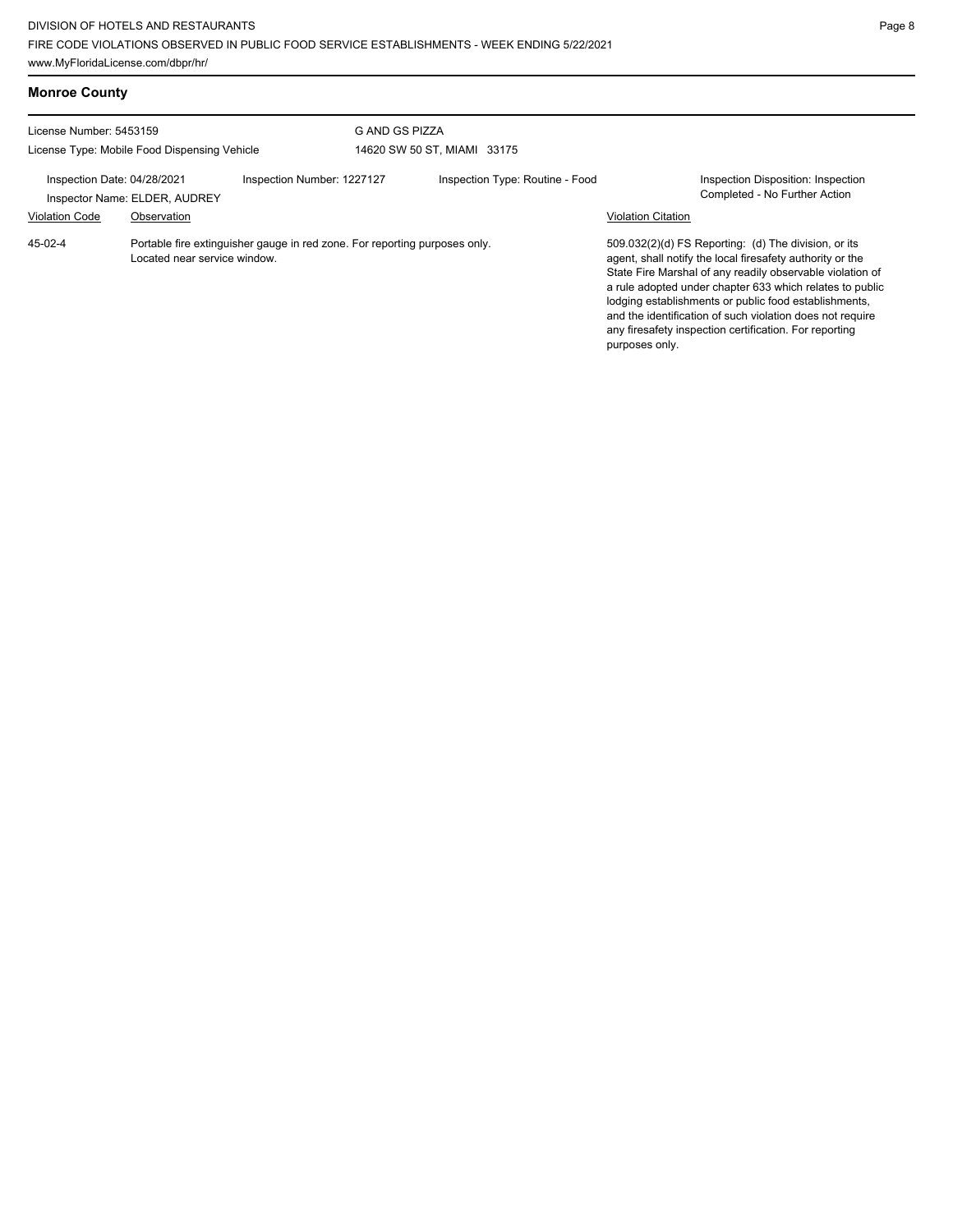| <b>Monroe County</b>                                 |                                              |                                                                            |                |                                 |                           |                                                                                                                                                                                                                                                                                                                                                                                                                            |
|------------------------------------------------------|----------------------------------------------|----------------------------------------------------------------------------|----------------|---------------------------------|---------------------------|----------------------------------------------------------------------------------------------------------------------------------------------------------------------------------------------------------------------------------------------------------------------------------------------------------------------------------------------------------------------------------------------------------------------------|
| License Number: 5453159                              | License Type: Mobile Food Dispensing Vehicle |                                                                            | G AND GS PIZZA | 14620 SW 50 ST, MIAMI 33175     |                           |                                                                                                                                                                                                                                                                                                                                                                                                                            |
| Inspection Date: 04/28/2021<br><b>Violation Code</b> | Inspector Name: ELDER, AUDREY<br>Observation | Inspection Number: 1227127                                                 |                | Inspection Type: Routine - Food | <b>Violation Citation</b> | <b>Inspection Disposition: Inspection</b><br>Completed - No Further Action                                                                                                                                                                                                                                                                                                                                                 |
| 45-02-4                                              | Located near service window.                 | Portable fire extinguisher gauge in red zone. For reporting purposes only. |                |                                 | purposes only.            | 509.032(2)(d) FS Reporting: (d) The division, or its<br>agent, shall notify the local firesafety authority or the<br>State Fire Marshal of any readily observable violation of<br>a rule adopted under chapter 633 which relates to public<br>lodging establishments or public food establishments,<br>and the identification of such violation does not require<br>any firesafety inspection certification. For reporting |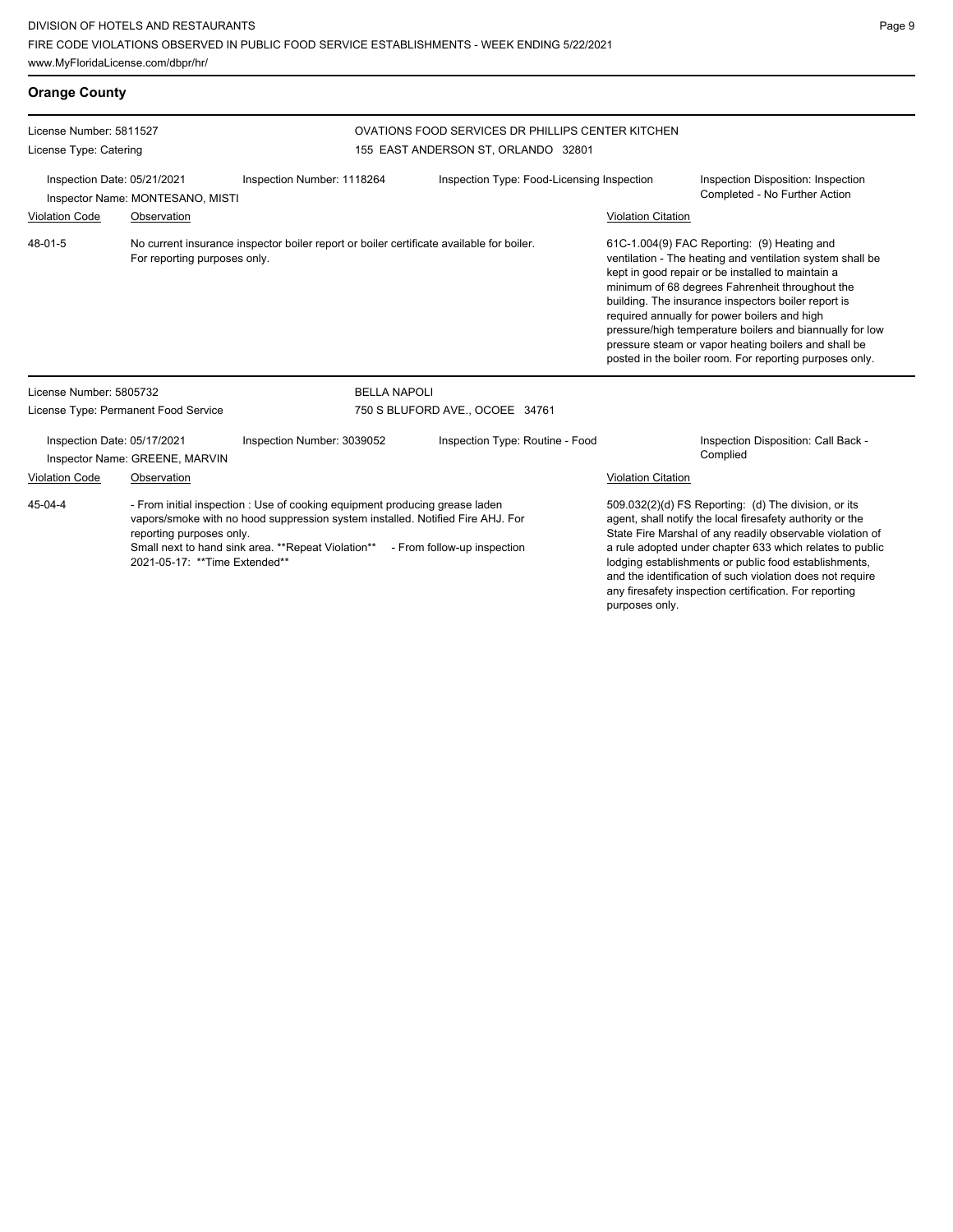**Orange County** License Number: 5811527 License Type: Catering OVATIONS FOOD SERVICES DR PHILLIPS CENTER KITCHEN 155 EAST ANDERSON ST, ORLANDO 32801 Inspection Date: 05/21/2021 Inspection Number: 1118264 Inspection Type: Food-Licensing Inspection Inspection Disposition: Inspection Inspector Name: MONTESANO, MISTI Completed - No Further Action Violation Code Observation Violation Citation No current insurance inspector boiler report or boiler certificate available for boiler. For reporting purposes only. 61C-1.004(9) FAC Reporting: (9) Heating and ventilation - The heating and ventilation system shall be kept in good repair or be installed to maintain a minimum of 68 degrees Fahrenheit throughout the building. The insurance inspectors boiler report is required annually for power boilers and high pressure/high temperature boilers and biannually for low pressure steam or vapor heating boilers and shall be posted in the boiler room. For reporting purposes only. 48-01-5 License Number: 5805732 License Type: Permanent Food Service BELLA NAPOLI 750 S BLUFORD AVE., OCOEE 34761 Inspection Date: 05/17/2021 Inspection Number: 3039052 Inspection Type: Routine - Food Inspection Disposition: Call Back -Inspector Name: GREENE, MARVIN Violation Code Observation Violation Citation - From initial inspection : Use of cooking equipment producing grease laden vapors/smoke with no hood suppression system installed. Notified Fire AHJ. For reporting purposes only. Small next to hand sink area. \*\*Repeat Violation\*\* - From follow-up inspection 2021-05-17: \*\*Time Extended\*\* 509.032(2)(d) FS Reporting: (d) The division, or its agent, shall notify the local firesafety authority or the State Fire Marshal of any readily observable violation of a rule adopted under chapter 633 which relates to public lodging establishments or public food establishments, 45-04-4

and the identification of such violation does not require any firesafety inspection certification. For reporting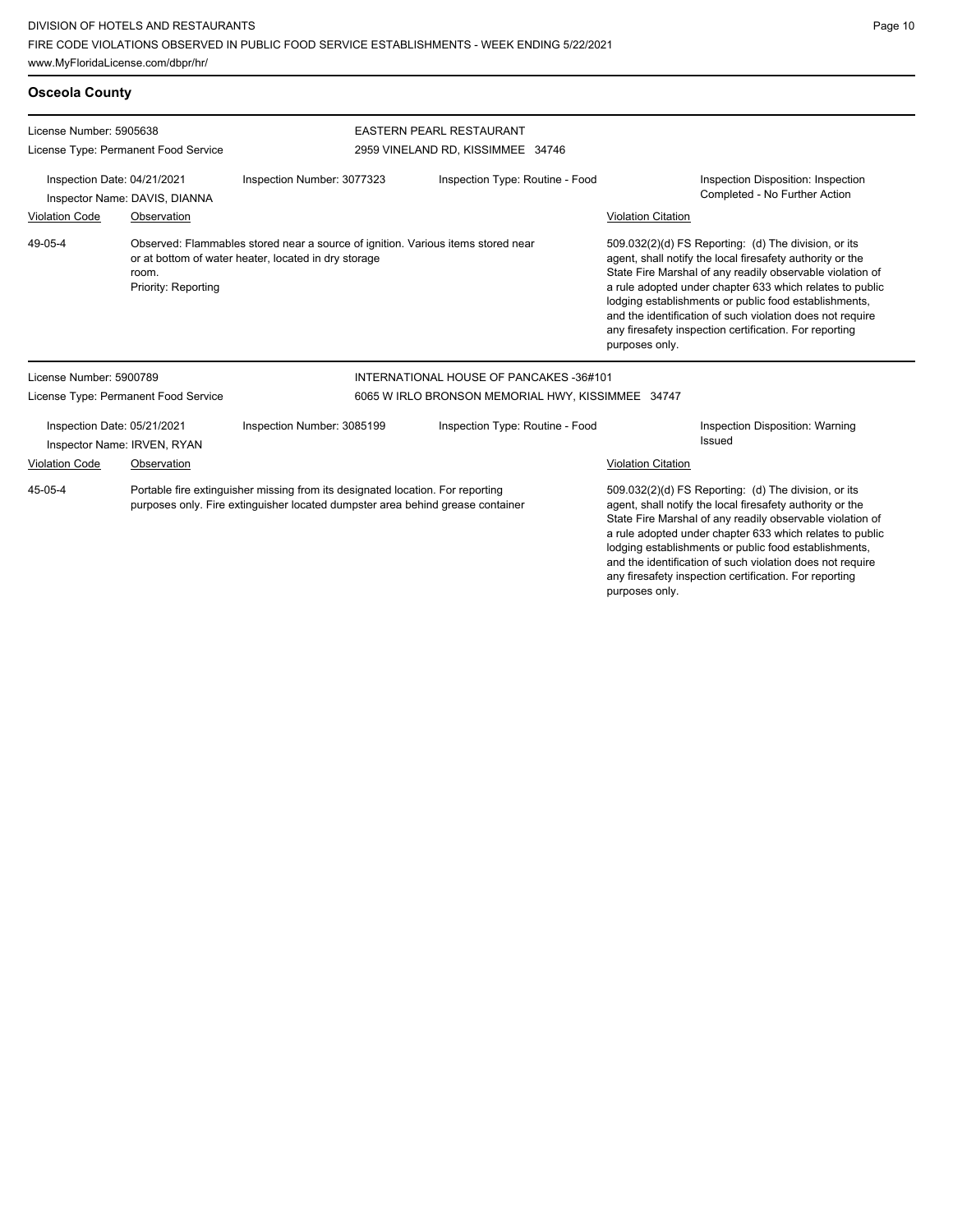Page 10

any firesafety inspection certification. For reporting

| <b>Osceola County</b>                                        |                                      |                                                                                                                                                                  |                                                                                                                                                                                                                                                                                                                                                                  |                                                                                                                                                                                                                                                                                                                                                                                                                                              |  |  |
|--------------------------------------------------------------|--------------------------------------|------------------------------------------------------------------------------------------------------------------------------------------------------------------|------------------------------------------------------------------------------------------------------------------------------------------------------------------------------------------------------------------------------------------------------------------------------------------------------------------------------------------------------------------|----------------------------------------------------------------------------------------------------------------------------------------------------------------------------------------------------------------------------------------------------------------------------------------------------------------------------------------------------------------------------------------------------------------------------------------------|--|--|
| License Number: 5905638                                      |                                      |                                                                                                                                                                  | <b>EASTERN PEARL RESTAURANT</b>                                                                                                                                                                                                                                                                                                                                  |                                                                                                                                                                                                                                                                                                                                                                                                                                              |  |  |
|                                                              | License Type: Permanent Food Service |                                                                                                                                                                  | 2959 VINELAND RD, KISSIMMEE 34746                                                                                                                                                                                                                                                                                                                                |                                                                                                                                                                                                                                                                                                                                                                                                                                              |  |  |
| Inspection Date: 04/21/2021<br>Inspector Name: DAVIS, DIANNA |                                      | Inspection Number: 3077323                                                                                                                                       | Inspection Type: Routine - Food                                                                                                                                                                                                                                                                                                                                  | Inspection Disposition: Inspection<br>Completed - No Further Action                                                                                                                                                                                                                                                                                                                                                                          |  |  |
| <b>Violation Code</b>                                        | Observation                          |                                                                                                                                                                  |                                                                                                                                                                                                                                                                                                                                                                  | <b>Violation Citation</b>                                                                                                                                                                                                                                                                                                                                                                                                                    |  |  |
| 49-05-4                                                      | room.<br>Priority: Reporting         | Observed: Flammables stored near a source of ignition. Various items stored near<br>or at bottom of water heater, located in dry storage                         |                                                                                                                                                                                                                                                                                                                                                                  | 509.032(2)(d) FS Reporting: (d) The division, or its<br>agent, shall notify the local firesafety authority or the<br>State Fire Marshal of any readily observable violation of<br>a rule adopted under chapter 633 which relates to public<br>lodging establishments or public food establishments,<br>and the identification of such violation does not require<br>any firesafety inspection certification. For reporting<br>purposes only. |  |  |
| License Number: 5900789                                      |                                      |                                                                                                                                                                  | INTERNATIONAL HOUSE OF PANCAKES -36#101                                                                                                                                                                                                                                                                                                                          |                                                                                                                                                                                                                                                                                                                                                                                                                                              |  |  |
|                                                              | License Type: Permanent Food Service |                                                                                                                                                                  | 6065 W IRLO BRONSON MEMORIAL HWY, KISSIMMEE 34747                                                                                                                                                                                                                                                                                                                |                                                                                                                                                                                                                                                                                                                                                                                                                                              |  |  |
| Inspection Date: 05/21/2021<br>Inspector Name: IRVEN, RYAN   |                                      | Inspection Number: 3085199                                                                                                                                       | Inspection Type: Routine - Food                                                                                                                                                                                                                                                                                                                                  | Inspection Disposition: Warning<br>Issued                                                                                                                                                                                                                                                                                                                                                                                                    |  |  |
| <b>Violation Code</b>                                        | Observation                          |                                                                                                                                                                  |                                                                                                                                                                                                                                                                                                                                                                  | <b>Violation Citation</b>                                                                                                                                                                                                                                                                                                                                                                                                                    |  |  |
| 45-05-4                                                      |                                      | Portable fire extinguisher missing from its designated location. For reporting<br>purposes only. Fire extinguisher located dumpster area behind grease container | 509.032(2)(d) FS Reporting: (d) The division, or its<br>agent, shall notify the local firesafety authority or the<br>State Fire Marshal of any readily observable violation of<br>a rule adopted under chapter 633 which relates to public<br>lodging establishments or public food establishments,<br>and the identification of such violation does not require |                                                                                                                                                                                                                                                                                                                                                                                                                                              |  |  |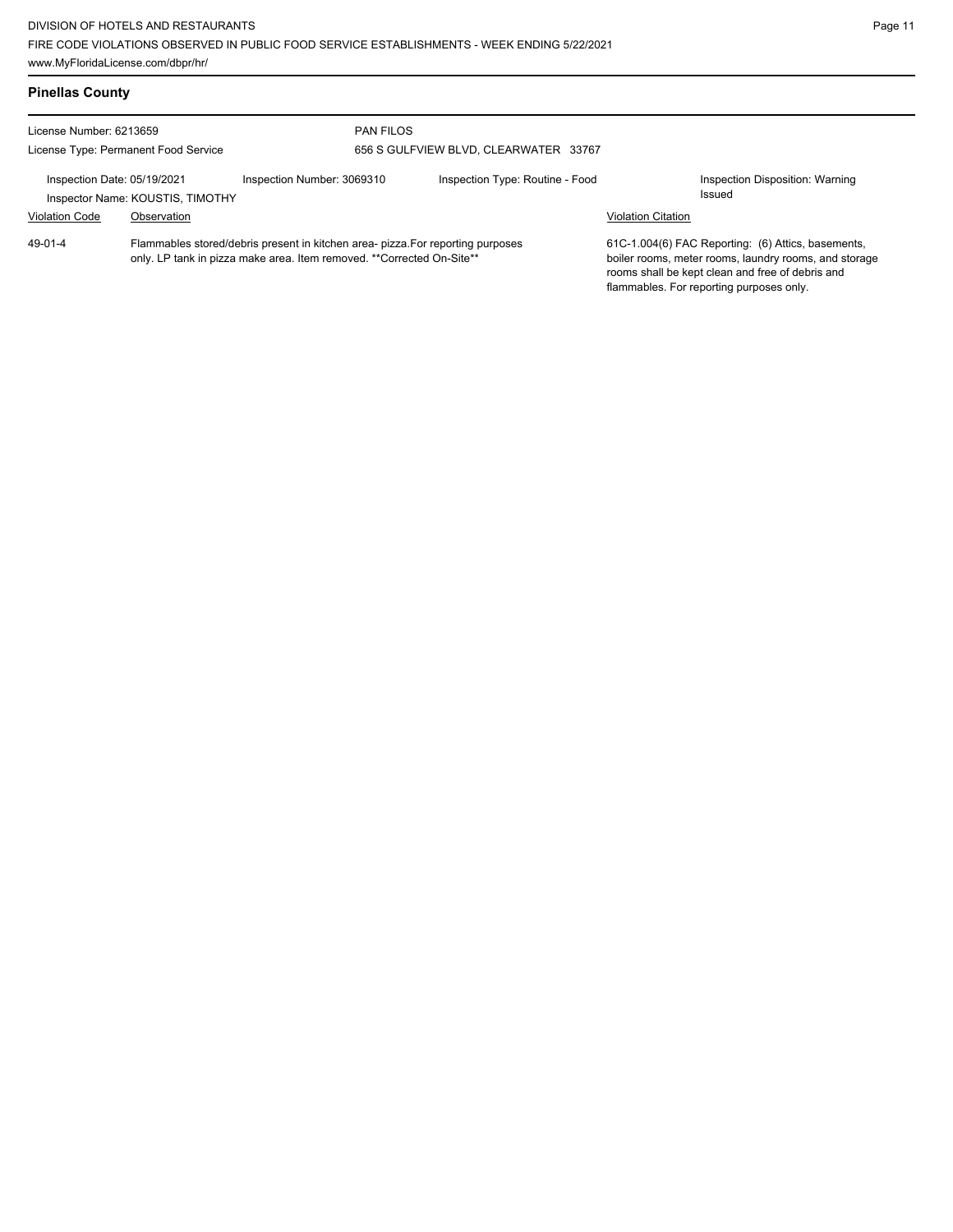| <b>Pinellas County</b>                                                                                                                                                    |                                      |                            |                                       |                                                                                                                                                                                                             |                                                  |  |
|---------------------------------------------------------------------------------------------------------------------------------------------------------------------------|--------------------------------------|----------------------------|---------------------------------------|-------------------------------------------------------------------------------------------------------------------------------------------------------------------------------------------------------------|--------------------------------------------------|--|
| License Number: 6213659                                                                                                                                                   |                                      | <b>PAN FILOS</b>           |                                       |                                                                                                                                                                                                             |                                                  |  |
|                                                                                                                                                                           | License Type: Permanent Food Service |                            | 656 S GULFVIEW BLVD, CLEARWATER 33767 |                                                                                                                                                                                                             |                                                  |  |
| Inspection Date: 05/19/2021                                                                                                                                               | Inspector Name: KOUSTIS, TIMOTHY     | Inspection Number: 3069310 | Inspection Type: Routine - Food       |                                                                                                                                                                                                             | Inspection Disposition: Warning<br><b>Issued</b> |  |
| <b>Violation Code</b>                                                                                                                                                     | Observation                          |                            |                                       | <b>Violation Citation</b>                                                                                                                                                                                   |                                                  |  |
| $49 - 01 - 4$<br>Flammables stored/debris present in kitchen area- pizza. For reporting purposes<br>only. LP tank in pizza make area. Item removed. **Corrected On-Site** |                                      |                            |                                       | 61C-1.004(6) FAC Reporting: (6) Attics, basements,<br>boiler rooms, meter rooms, laundry rooms, and storage<br>rooms shall be kept clean and free of debris and<br>flammables. For reporting purposes only. |                                                  |  |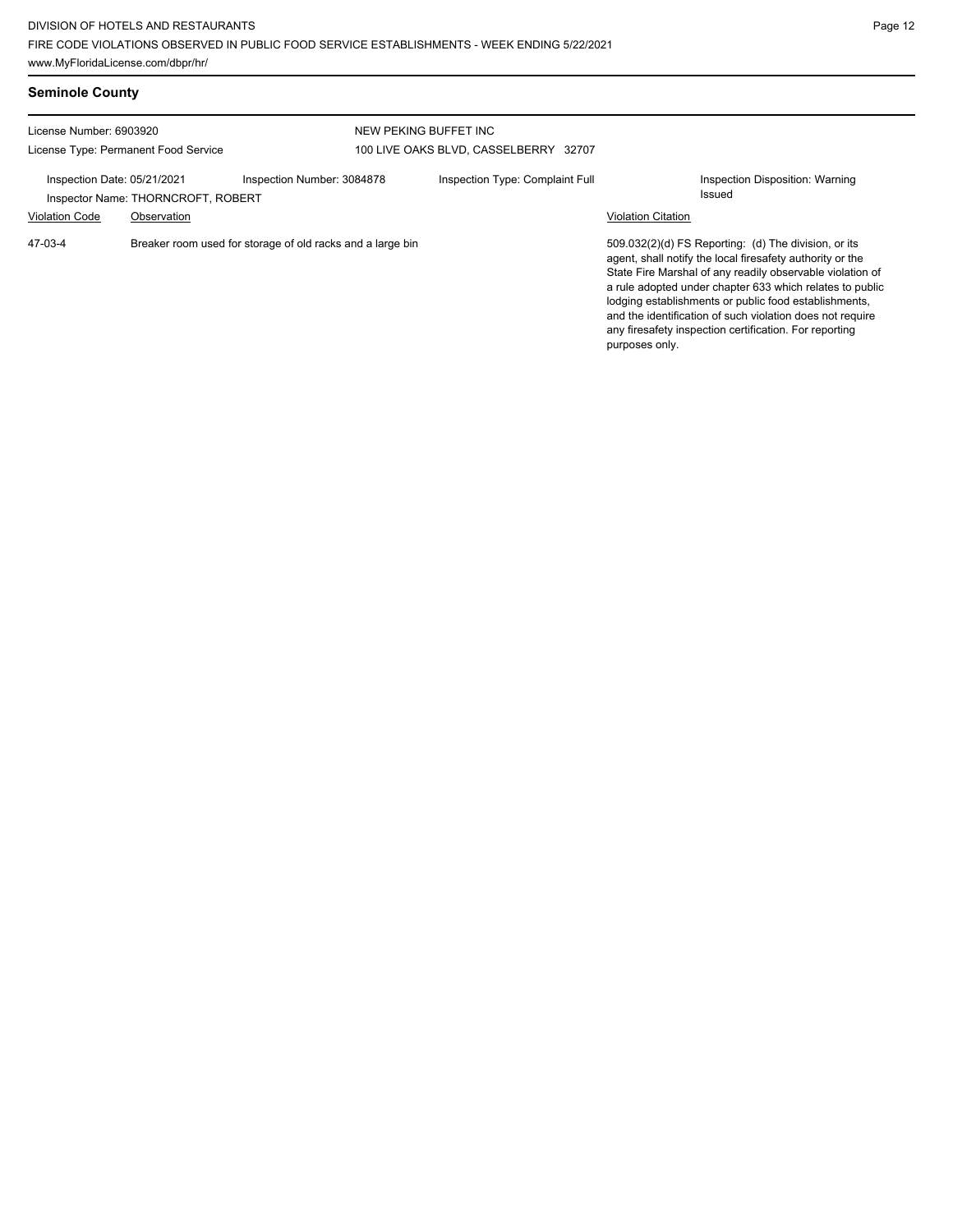| <b>Seminole County</b>                                          |                                                   |                                                            |                                                                |                           |                                                                                                                                                                                                                                                                                                                                                                                                                            |  |  |
|-----------------------------------------------------------------|---------------------------------------------------|------------------------------------------------------------|----------------------------------------------------------------|---------------------------|----------------------------------------------------------------------------------------------------------------------------------------------------------------------------------------------------------------------------------------------------------------------------------------------------------------------------------------------------------------------------------------------------------------------------|--|--|
| License Number: 6903920<br>License Type: Permanent Food Service |                                                   |                                                            | NEW PEKING BUFFET INC<br>100 LIVE OAKS BLVD, CASSELBERRY 32707 |                           |                                                                                                                                                                                                                                                                                                                                                                                                                            |  |  |
| Inspection Date: 05/21/2021<br><b>Violation Code</b>            | Inspector Name: THORNCROFT, ROBERT<br>Observation | Inspection Number: 3084878                                 | Inspection Type: Complaint Full                                | <b>Violation Citation</b> | Inspection Disposition: Warning<br>Issued                                                                                                                                                                                                                                                                                                                                                                                  |  |  |
| 47-03-4                                                         |                                                   | Breaker room used for storage of old racks and a large bin |                                                                | purposes only.            | 509.032(2)(d) FS Reporting: (d) The division, or its<br>agent, shall notify the local firesafety authority or the<br>State Fire Marshal of any readily observable violation of<br>a rule adopted under chapter 633 which relates to public<br>lodging establishments or public food establishments,<br>and the identification of such violation does not require<br>any firesafety inspection certification. For reporting |  |  |